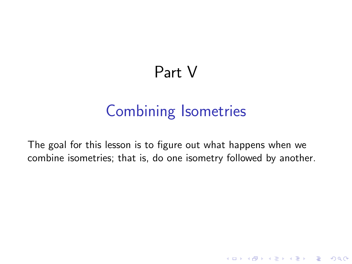# Part V

# Combining Isometries

The goal for this lesson is to figure out what happens when we combine isometries; that is, do one isometry followed by another.

K ロ ▶ K @ ▶ K 할 > K 할 > 1 할 > 1 이익어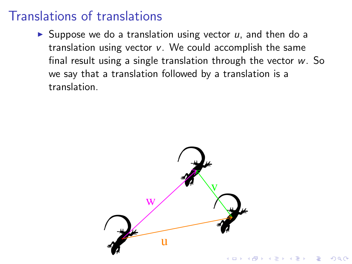## Translations of translations

 $\triangleright$  Suppose we do a translation using vector  $u$ , and then do a translation using vector *v*. We could accomplish the same final result using a single translation through the vector *w*. So we say that a translation followed by a translation is a translation.

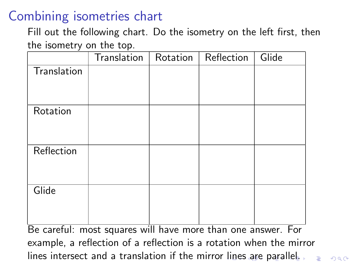## Combining isometries chart

Fill out the following chart. Do the isometry on the left first, then the isometry on the top.

| Be careful: most squares will have more than one answer. For        |  |  |  |  |  |  |  |  |
|---------------------------------------------------------------------|--|--|--|--|--|--|--|--|
| example, a reflection of a reflection is a rotation when the mirror |  |  |  |  |  |  |  |  |
|                                                                     |  |  |  |  |  |  |  |  |

lines intersect and a translation if the mirror lines are parallel.

 $2990$ 

 $\Rightarrow$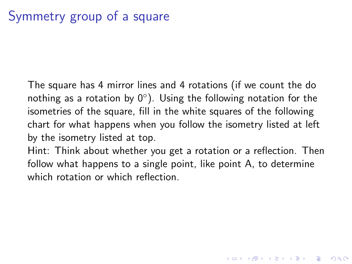The square has 4 mirror lines and 4 rotations (if we count the do nothing as a rotation by  $0^{\circ}$ ). Using the following notation for the isometries of the square, fill in the white squares of the following chart for what happens when you follow the isometry listed at left by the isometry listed at top.

Hint: Think about whether you get a rotation or a reflection. Then follow what happens to a single point, like point A, to determine which rotation or which reflection.

**KORKAR KERKER E VOOR**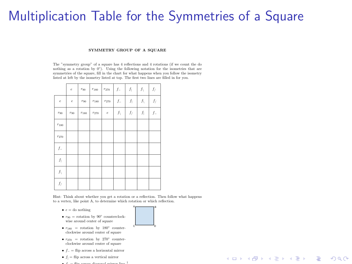### Multiplication Table for the Symmetries of a Square

#### SYMMETRY GROUP OF A SOUARE

The "symmetry group" of a square has 4 reflections and 4 rotations (if we count the do nothing as a rotation by  $0^{\circ}$ ). Using the following notation for the isometries that are symmetries of the square, fill in the chart for what happens when you follow the isometry listed at left by the isometry listed at top. The first two lines are filled in for you.

|                | $\boldsymbol{e}$ | $r_{90}$       | $r_{\rm 180}$ | $r_{270}$     | $f_{-}$        | $f_{\rm i}$ | f.               | $f_{/}$ |
|----------------|------------------|----------------|---------------|---------------|----------------|-------------|------------------|---------|
| $\dot{e}$      | $\epsilon$       | $r_{\rm \,90}$ | $r_{\rm 180}$ | $r_{\rm 270}$ | $f_{-}$        | ſ           | $f_{\backslash}$ | $f_{/}$ |
| $r_{90}$       | $r_{90}$         | $r_{\rm 180}$  | $r_{270}$     | $\dot{e}$     | $f_\backslash$ | $f_{\it /}$ | $f_{\rm l}$      | $f_{-}$ |
| $r_{\rm 180}$  |                  |                |               |               |                |             |                  |         |
| $r_{270}$      |                  |                |               |               |                |             |                  |         |
| $f_{-}$        |                  |                |               |               |                |             |                  |         |
| $f_{\rm}$      |                  |                |               |               |                |             |                  |         |
| $f_\backslash$ |                  |                |               |               |                |             |                  |         |
| $f_{/}$        |                  |                |               |               |                |             |                  |         |

Hint: Think about whether you get a rotation or a reflection. Then follow what happens to a vertex, like point A, to determine which rotation or which reflection.

- *• e* = do nothing
- $r_{90}$  = rotation by 90° counterclockwise around center of square
- $\bullet$   $r_{180}$  = rotation by 180° counterclockwise around center of square
- $r_{270}$  = rotation by 270° counterclockwise around center of square
- $f =$  flip across a horizontal mirror
- *• f<sup>|</sup>* = flip across a vertical mirror
- $\bullet$   $f =$  flip across diagonal mirror line  $^1$



**KORK STRAIN A BAR SHOP**